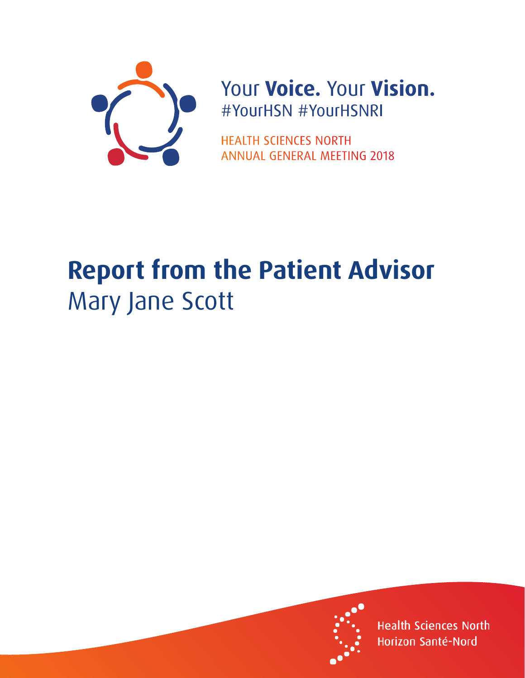

## Your Voice. Your Vision. #YourHSN #YourHSNRI

**HEALTH SCIENCES NORTH ANNUAL GENERAL MEETING 2018** 

## **Report from the Patient Advisor** Mary Jane Scott



**Health Sciences North** Horizon Santé-Nord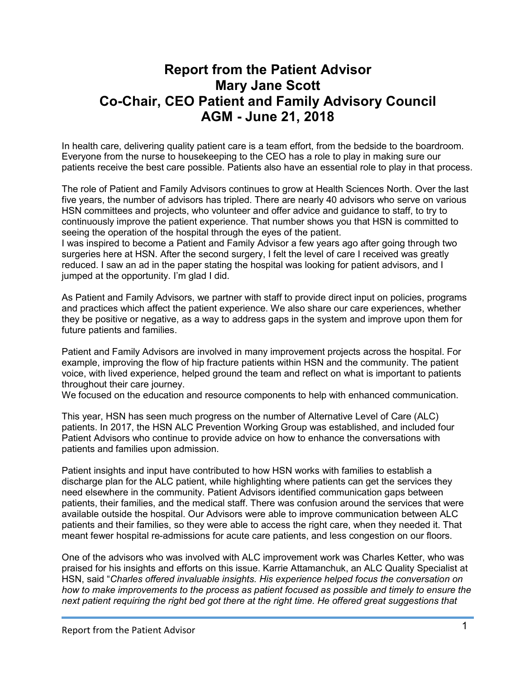## **Report from the Patient Advisor Mary Jane Scott Co-Chair, CEO Patient and Family Advisory Council AGM - June 21, 2018**

In health care, delivering quality patient care is a team effort, from the bedside to the boardroom. Everyone from the nurse to housekeeping to the CEO has a role to play in making sure our patients receive the best care possible. Patients also have an essential role to play in that process.

The role of Patient and Family Advisors continues to grow at Health Sciences North. Over the last five years, the number of advisors has tripled. There are nearly 40 advisors who serve on various HSN committees and projects, who volunteer and offer advice and guidance to staff, to try to continuously improve the patient experience. That number shows you that HSN is committed to seeing the operation of the hospital through the eyes of the patient.

I was inspired to become a Patient and Family Advisor a few years ago after going through two surgeries here at HSN. After the second surgery, I felt the level of care I received was greatly reduced. I saw an ad in the paper stating the hospital was looking for patient advisors, and I jumped at the opportunity. I'm glad I did.

As Patient and Family Advisors, we partner with staff to provide direct input on policies, programs and practices which affect the patient experience. We also share our care experiences, whether they be positive or negative, as a way to address gaps in the system and improve upon them for future patients and families.

Patient and Family Advisors are involved in many improvement projects across the hospital. For example, improving the flow of hip fracture patients within HSN and the community. The patient voice, with lived experience, helped ground the team and reflect on what is important to patients throughout their care journey.

We focused on the education and resource components to help with enhanced communication.

This year, HSN has seen much progress on the number of Alternative Level of Care (ALC) patients. In 2017, the HSN ALC Prevention Working Group was established, and included four Patient Advisors who continue to provide advice on how to enhance the conversations with patients and families upon admission.

Patient insights and input have contributed to how HSN works with families to establish a discharge plan for the ALC patient, while highlighting where patients can get the services they need elsewhere in the community. Patient Advisors identified communication gaps between patients, their families, and the medical staff. There was confusion around the services that were available outside the hospital. Our Advisors were able to improve communication between ALC patients and their families, so they were able to access the right care, when they needed it. That meant fewer hospital re-admissions for acute care patients, and less congestion on our floors.

One of the advisors who was involved with ALC improvement work was Charles Ketter, who was praised for his insights and efforts on this issue. Karrie Attamanchuk, an ALC Quality Specialist at HSN, said "*Charles offered invaluable insights. His experience helped focus the conversation on how to make improvements to the process as patient focused as possible and timely to ensure the next patient requiring the right bed got there at the right time. He offered great suggestions that*